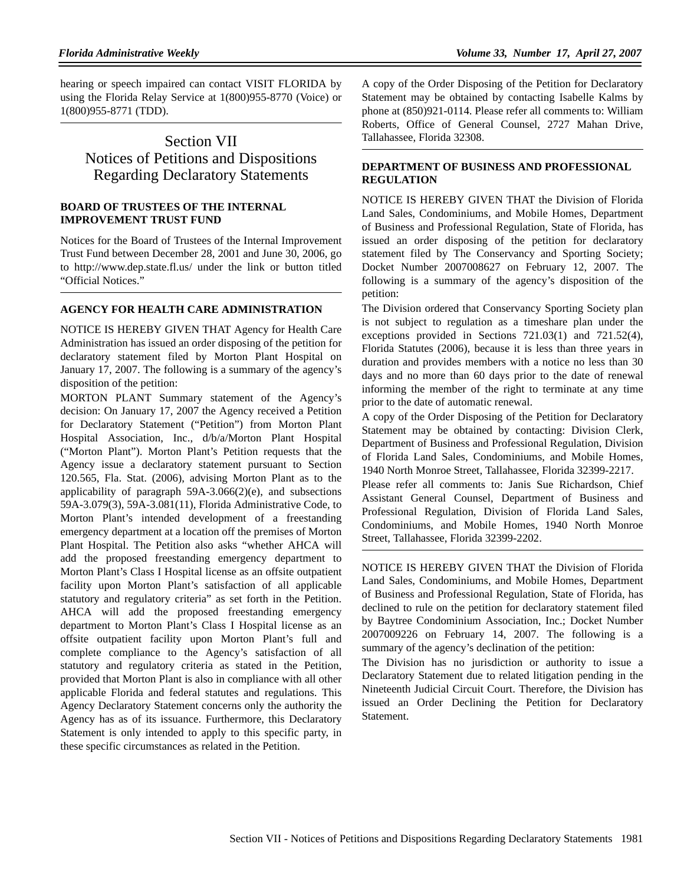hearing or speech impaired can contact VISIT FLORIDA by using the Florida Relay Service at 1(800)955-8770 (Voice) or 1(800)955-8771 (TDD).

# Section VII Notices of Petitions and Dispositions Regarding Declaratory Statements

### **BOARD OF TRUSTEES OF THE INTERNAL IMPROVEMENT TRUST FUND**

Notices for the Board of Trustees of the Internal Improvement Trust Fund between December 28, 2001 and June 30, 2006, go to http://www.dep.state.fl.us/ under the link or button titled "Official Notices."

### **AGENCY FOR HEALTH CARE ADMINISTRATION**

NOTICE IS HEREBY GIVEN THAT Agency for Health Care Administration has issued an order disposing of the petition for declaratory statement filed by Morton Plant Hospital on January 17, 2007. The following is a summary of the agency's disposition of the petition:

MORTON PLANT Summary statement of the Agency's decision: On January 17, 2007 the Agency received a Petition for Declaratory Statement ("Petition") from Morton Plant Hospital Association, Inc., d/b/a/Morton Plant Hospital ("Morton Plant"). Morton Plant's Petition requests that the Agency issue a declaratory statement pursuant to Section 120.565, Fla. Stat. (2006), advising Morton Plant as to the applicability of paragraph 59A-3.066(2)(e), and subsections 59A-3.079(3), 59A-3.081(11), Florida Administrative Code, to Morton Plant's intended development of a freestanding emergency department at a location off the premises of Morton Plant Hospital. The Petition also asks "whether AHCA will add the proposed freestanding emergency department to Morton Plant's Class I Hospital license as an offsite outpatient facility upon Morton Plant's satisfaction of all applicable statutory and regulatory criteria" as set forth in the Petition. AHCA will add the proposed freestanding emergency department to Morton Plant's Class I Hospital license as an offsite outpatient facility upon Morton Plant's full and complete compliance to the Agency's satisfaction of all statutory and regulatory criteria as stated in the Petition, provided that Morton Plant is also in compliance with all other applicable Florida and federal statutes and regulations. This Agency Declaratory Statement concerns only the authority the Agency has as of its issuance. Furthermore, this Declaratory Statement is only intended to apply to this specific party, in these specific circumstances as related in the Petition.

A copy of the Order Disposing of the Petition for Declaratory Statement may be obtained by contacting Isabelle Kalms by phone at (850)921-0114. Please refer all comments to: William Roberts, Office of General Counsel, 2727 Mahan Drive, Tallahassee, Florida 32308.

### **DEPARTMENT OF BUSINESS AND PROFESSIONAL REGULATION**

NOTICE IS HEREBY GIVEN THAT the Division of Florida Land Sales, Condominiums, and Mobile Homes, Department of Business and Professional Regulation, State of Florida, has issued an order disposing of the petition for declaratory statement filed by The Conservancy and Sporting Society; Docket Number 2007008627 on February 12, 2007. The following is a summary of the agency's disposition of the petition:

The Division ordered that Conservancy Sporting Society plan is not subject to regulation as a timeshare plan under the exceptions provided in Sections 721.03(1) and 721.52(4), Florida Statutes (2006), because it is less than three years in duration and provides members with a notice no less than 30 days and no more than 60 days prior to the date of renewal informing the member of the right to terminate at any time prior to the date of automatic renewal.

A copy of the Order Disposing of the Petition for Declaratory Statement may be obtained by contacting: Division Clerk, Department of Business and Professional Regulation, Division of Florida Land Sales, Condominiums, and Mobile Homes, 1940 North Monroe Street, Tallahassee, Florida 32399-2217.

Please refer all comments to: Janis Sue Richardson, Chief Assistant General Counsel, Department of Business and Professional Regulation, Division of Florida Land Sales, Condominiums, and Mobile Homes, 1940 North Monroe Street, Tallahassee, Florida 32399-2202.

NOTICE IS HEREBY GIVEN THAT the Division of Florida Land Sales, Condominiums, and Mobile Homes, Department of Business and Professional Regulation, State of Florida, has declined to rule on the petition for declaratory statement filed by Baytree Condominium Association, Inc.; Docket Number 2007009226 on February 14, 2007. The following is a summary of the agency's declination of the petition:

The Division has no jurisdiction or authority to issue a Declaratory Statement due to related litigation pending in the Nineteenth Judicial Circuit Court. Therefore, the Division has issued an Order Declining the Petition for Declaratory Statement.